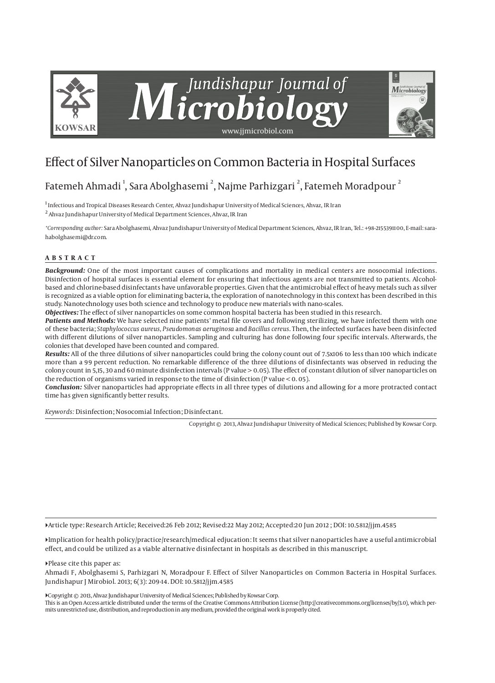

# Effect of Silver Nanoparticles on Common Bacteria in Hospital Surfaces

# Fatemeh Ahmadi  $^{\rm l}$ , Sara Abolghasemi  $^{\rm 2}$ , Najme Parhizgari  $^{\rm 2}$ , Fatemeh Moradpour  $^{\rm 2}$

<sup>1</sup> Infectious and Tropical Diseases Research Center, Ahvaz Jundishapur University of Medical Sciences, Ahvaz, IR Iran  $^2$  Ahvaz Jundishapur University of Medical Department Sciences, Ahvaz, IR Iran

*\*Corresponding author:* Sara Abolghasemi, Ahvaz Jundishapur University of Medical Department Sciences, Ahvaz, IR Iran, Tel.: +98-2155391100, E-mail: sarahabolghasemi@dr.com.

#### **ABSTRACT**

*Background:* One of the most important causes of complications and mortality in medical centers are nosocomial infections. Disinfection of hospital surfaces is essential element for ensuring that infectious agents are not transmitted to patients. Alcoholbased and chlorine-based disinfectants have unfavorable properties. Given that the antimicrobial effect of heavy metals such as silver is recognized as a viable option for eliminating bacteria, the exploration of nanotechnology in this context has been described in this study. Nanotechnology uses both science and technology to produce new materials with nano-scales.

*Objectives:* The effect of silver nanoparticles on some common hospital bacteria has been studied in this research.

*Patients and Methods:* We have selected nine patients' metal file covers and following sterilizing, we have infected them with one of these bacteria; *Staphylococcus aureus, Pseudomonas aeruginosa* and *Bacillus cereus*. Then, the infected surfaces have been disinfected with different dilutions of silver nanoparticles. Sampling and culturing has done following four specific intervals. Afterwards, the colonies that developed have been counted and compared.

*Results:* All of the three dilutions of silver nanoparticles could bring the colony count out of 7.5x106 to less than 100 which indicate more than a 99 percent reduction. No remarkable difference of the three dilutions of disinfectants was observed in reducing the colony count in 5,15, 30 and 60 minute disinfection intervals (P value > 0.05). The effect of constant dilution of silver nanoparticles on the reduction of organisms varied in response to the time of disinfection (P value < 0. 05).

*Conclusion:* Silver nanoparticles had appropriate effects in all three types of dilutions and allowing for a more protracted contact time has given significantly better results.

*Keywords:* Disinfection; Nosocomial Infection; Disinfectant.

Copyright © 2013, Ahvaz Jundishapur University of Medical Sciences; Published by Kowsar Corp.

Article type: Research Article; Received:26 Feb 2012; Revised:22 May 2012; Accepted:20 Jun 2012 ; DOI: 10.5812/jjm.4585

Implication for health policy/practice/research/medical edjucation: It seems that silver nanoparticles have a useful antimicrobial effect, and could be utilized as a viable alternative disinfectant in hospitals as described in this manuscript.

Please cite this paper as:

Ahmadi F, Abolghasemi S, Parhizgari N, Moradpour F. Effect of Silver Nanoparticles on Common Bacteria in Hospital Surfaces. Jundishapur J Mirobiol. 2013; 6(3): 209-14. DOI: 10.5812/jjm.4585

Copyright © 2013, Ahvaz Jundishapur University of Medical Sciences; Published by Kowsar Corp.

This is an Open Access article distributed under the terms of the Creative Commons Attribution License (http://creativecommons.org/licenses/by/3.0), which permits unrestricted use, distribution, and reproduction in any medium, provided the original work is properly cited.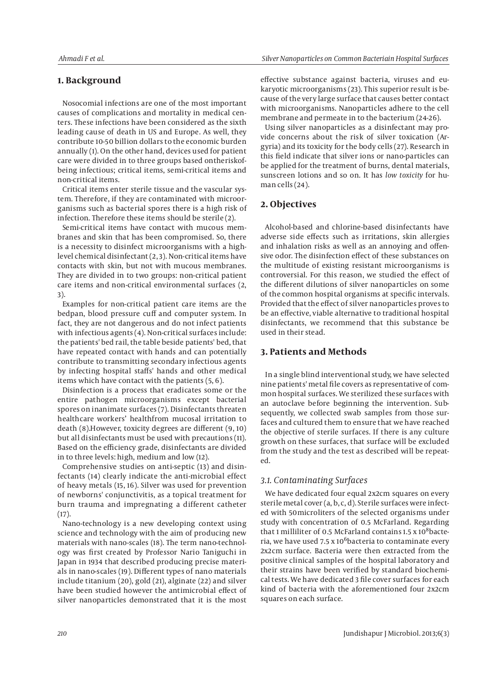# **1. Background**

Nosocomial infections are one of the most important causes of complications and mortality in medical centers. These infections have been considered as the sixth leading cause of death in US and Europe. As well, they contribute 10-50 billion dollars to the economic burden annually (1). On the other hand, devices used for patient care were divided in to three groups based ontheriskofbeing infectious; critical items, semi-critical items and non-critical items.

Critical items enter sterile tissue and the vascular system. Therefore, if they are contaminated with microorganisms such as bacterial spores there is a high risk of infection. Therefore these items should be sterile (2).

Semi-critical items have contact with mucous membranes and skin that has been compromised. So, there is a necessity to disinfect microorganisms with a highlevel chemical disinfectant (2, 3). Non-critical items have contacts with skin, but not with mucous membranes. They are divided in to two groups: non-critical patient care items and non-critical environmental surfaces (2, 3).

Examples for non-critical patient care items are the bedpan, blood pressure cuff and computer system. In fact, they are not dangerous and do not infect patients with infectious agents (4). Non-critical surfaces include: the patients' bed rail, the table beside patients' bed, that have repeated contact with hands and can potentially contribute to transmitting secondary infectious agents by infecting hospital staffs' hands and other medical items which have contact with the patients (5, 6).

Disinfection is a process that eradicates some or the entire pathogen microorganisms except bacterial spores on inanimate surfaces (7). Disinfectants threaten healthcare workers' healthfrom mucosal irritation to death (8).However, toxicity degrees are different (9, 10) but all disinfectants must be used with precautions (11). Based on the efficiency grade, disinfectants are divided in to three levels: high, medium and low (12).

Comprehensive studies on anti-septic (13) and disinfectants (14) clearly indicate the anti-microbial effect of heavy metals (15, 16). Silver was used for prevention of newborns' conjunctivitis, as a topical treatment for burn trauma and impregnating a different catheter  $(17).$ 

Nano-technology is a new developing context using science and technology with the aim of producing new materials with nano-scales (18). The term nano-technology was first created by Professor Nario Taniguchi in Japan in 1934 that described producing precise materials in nano-scales (19). Different types of nano materials include titanium (20), gold (21), alginate (22) and silver have been studied however the antimicrobial effect of silver nanoparticles demonstrated that it is the most effective substance against bacteria, viruses and eukaryotic microorganisms (23). This superior result is because of the very large surface that causes better contact with microorganisms. Nanoparticles adhere to the cell membrane and permeate in to the bacterium (24-26).

Using silver nanoparticles as a disinfectant may provide concerns about the risk of silver toxication (Argyria) and its toxicity for the body cells (27). Research in this field indicate that silver ions or nano-particles can be applied for the treatment of burns, dental materials, sunscreen lotions and so on. It has *low toxicity* for human cells (24).

#### **2. Objectives**

Alcohol-based and chlorine-based disinfectants have adverse side effects such as irritations, skin allergies and inhalation risks as well as an annoying and offensive odor. The disinfection effect of these substances on the multitude of existing resistant microorganisms is controversial. For this reason, we studied the effect of the different dilutions of silver nanoparticles on some of the common hospital organisms at specific intervals. Provided that the effect of silver nanoparticles proves to be an effective, viable alternative to traditional hospital disinfectants, we recommend that this substance be used in their stead.

# **3. Patients and Methods**

In a single blind interventional study, we have selected nine patients' metal file covers as representative of common hospital surfaces. We sterilized these surfaces with an autoclave before beginning the intervention. Subsequently, we collected swab samples from those surfaces and cultured them to ensure that we have reached the objective of sterile surfaces. If there is any culture growth on these surfaces, that surface will be excluded from the study and the test as described will be repeated.

#### *3.1. Contaminating Surfaces*

We have dedicated four equal 2x2cm squares on every sterile metal cover (a, b, c, d). Sterile surfaces were infected with 50microliters of the selected organisms under study with concentration of 0.5 McFarland. Regarding that 1 milliliter of 0.5 McFarland contains 1.5 x  $10^8$ bacteria, we have used 7.5 x  $10^6$ bacteria to contaminate every 2x2cm surface. Bacteria were then extracted from the positive clinical samples of the hospital laboratory and their strains have been verified by standard biochemical tests. We have dedicated 3 file cover surfaces for each kind of bacteria with the aforementioned four 2x2cm squares on each surface.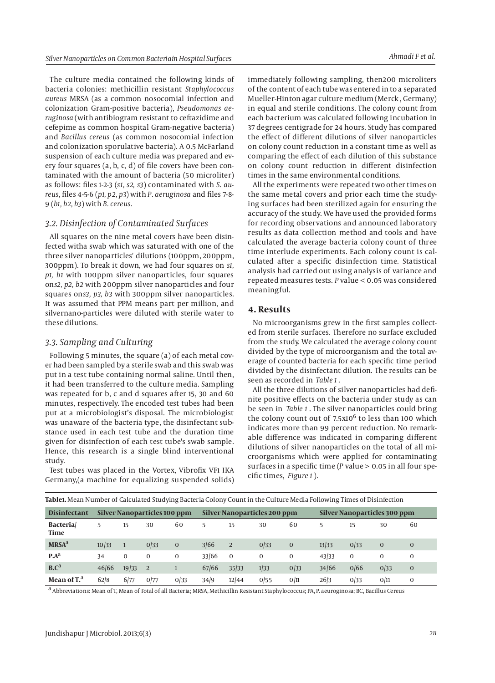The culture media contained the following kinds of bacteria colonies: methicillin resistant *Staphylococcus aureus* MRSA (as a common nosocomial infection and colonization Gram-positive bacteria), *Pseudomonas aeruginosa* (with antibiogram resistant to ceftazidime and cefepime as common hospital Gram-negative bacteria) and *Bacillus cereus* (as common nosocomial infection and colonization sporulative bacteria). A 0.5 McFarland suspension of each culture media was prepared and every four squares (a, b, c, d) of file covers have been contaminated with the amount of bacteria (50 microliter) as follows: files 1-2-3 (*s1, s2, s3*) contaminated with *S*. *aureus*, files 4-5-6 (*p1, p2, p3*) with *P*. *aeruginosa* and files 7-8- 9 (*b1, b2, b3*) with *B. cereus*.

## *3.2. Disinfection of Contaminated Surfaces*

All squares on the nine metal covers have been disinfected witha swab which was saturated with one of the three silver nanoparticles' dilutions (100ppm, 200ppm, 300ppm). To break it down, we had four squares on *s1, p1, b1* with 100ppm silver nanoparticles, four squares on*s2, p2, b2* with 200ppm silver nanoparticles and four squares on*s3, p3, b3* with 300ppm silver nanoparticles. It was assumed that PPM means part per million, and silvernano-particles were diluted with sterile water to these dilutions.

#### *3.3. Sampling and Culturing*

Following 5 minutes, the square (a) of each metal cover had been sampled by a sterile swab and this swab was put in a test tube containing normal saline. Until then, it had been transferred to the culture media. Sampling was repeated for b, c and d squares after 15, 30 and 60 minutes, respectively. The encoded test tubes had been put at a microbiologist's disposal. The microbiologist was unaware of the bacteria type, the disinfectant substance used in each test tube and the duration time given for disinfection of each test tube's swab sample. Hence, this research is a single blind interventional study.

Test tubes was placed in the Vortex, Vibrofix VF1 IKA Germany,(a machine for equalizing suspended solids) of the content of each tube was entered in to a separated Mueller-Hinton agar culture medium (Merck , Germany) in equal and sterile conditions. The colony count from each bacterium was calculated following incubation in 37 degrees centigrade for 24 hours. Study has compared the effect of different dilutions of silver nanoparticles on colony count reduction in a constant time as well as comparing the effect of each dilution of this substance on colony count reduction in different disinfection times in the same environmental conditions.

All the experiments were repeated two other times on the same metal covers and prior each time the studying surfaces had been sterilized again for ensuring the accuracy of the study. We have used the provided forms for recording observations and announced laboratory results as data collection method and tools and have calculated the average bacteria colony count of three time interlude experiments. Each colony count is calculated after a specific disinfection time. Statistical analysis had carried out using analysis of variance and repeated measures tests. *P* value < 0.05 was considered meaningful.

#### **4. Results**

No microorganisms grew in the first samples collected from sterile surfaces. Therefore no surface excluded from the study. We calculated the average colony count divided by the type of microorganism and the total average of counted bacteria for each specific time period divided by the disinfectant dilution. The results can be seen as recorded in *Table 1* .

All the three dilutions of silver nanoparticles had definite positive effects on the bacteria under study as can be seen in *Table 1* . The silver nanoparticles could bring the colony count out of  $7.5x10^6$  to less than 100 which indicates more than 99 percent reduction. No remarkable difference was indicated in comparing different dilutions of silver nanoparticles on the total of all microorganisms which were applied for contaminating surfaces in a specific time (*P* value > 0.05 in all four specific times, *Figure 1* ).

|                          |                              |          |              | $\cdot$        |                              |          |          |                |                              |      |              |              |  |
|--------------------------|------------------------------|----------|--------------|----------------|------------------------------|----------|----------|----------------|------------------------------|------|--------------|--------------|--|
| <b>Disinfectant</b>      | Silver Nanoparticles 100 ppm |          |              |                | Silver Nanoparticles 200 ppm |          |          |                | Silver Nanoparticles 300 ppm |      |              |              |  |
| Bacteria<br>Time         | 5                            | 15       | 30           | 60             | 5                            | 15       | 30       | 60             | 5.                           | 15   | 30           | 60           |  |
| <b>MRSA</b> <sup>a</sup> | 10/33                        |          | 0/33         | $\overline{0}$ | 3/66                         | 2        | 0/33     | $\overline{0}$ | 13/33                        | 0/33 | $\mathbf{0}$ | $\mathbf{0}$ |  |
| $P.A^d$                  | 34                           | $\Omega$ | $\Omega$     | 0              | 33/66                        | $\Omega$ | $\Omega$ | 0              | 43/33                        | 0    | $\Omega$     | 0            |  |
| B.C <sup>a</sup>         | 46/66                        | 19/33    | <sup>2</sup> |                | 67/66                        | 35/33    | 1/33     | 0/33           | 34/66                        | 0/66 | 0/33         | $\mathbf{0}$ |  |
| Mean of T. <sup>a</sup>  | 62/8                         | 6/77     | 0/77         | 0/33           | 34/9                         | 12/44    | 0/55     | 0/11           | 26/3                         | 0/33 | 0/11         | 0            |  |

**Table1.** Mean Number of Calculated Studying Bacteria Colony Count in the Culture Media Following Times of Disinfection

a Abbreviations: Mean of T, Mean of Total of all Bacteria; MRSA, Methicillin Resistant Staphylococcus; PA, P. aeuroginosa; BC, Bacillus Cereus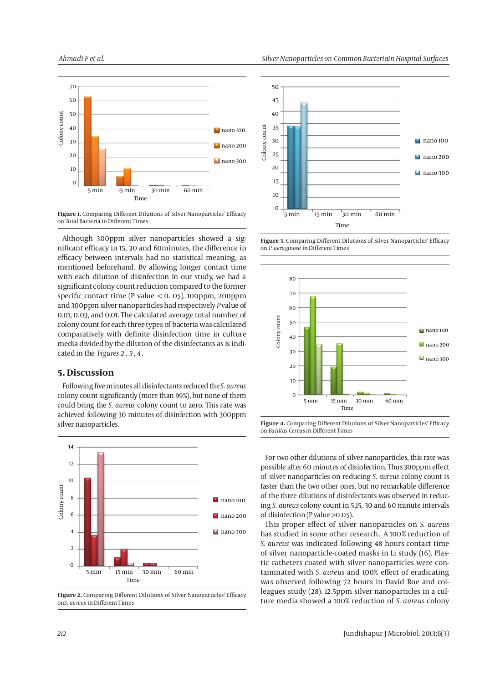

**Figure 1.** Comparing Different Dilutions of Silver Nanoparticles' Efficacy on Total Bacteria in Different Times

Although 300ppm silver nanoparticles showed a significant efficacy in 15, 30 and 60minutes, the difference in efficacy between intervals had no statistical meaning, as mentioned beforehand. By allowing longer contact time with each dilution of disinfection in our study, we had a significant colony count reduction compared to the former specific contact time (P value  $<$  0, 05), 100ppm, 200ppm and 300ppm silver nanoparticles had respectively *P* value of 0.01, 0.03, and 0.01. The calculated average total number of colony count for each three types of bacteria was calculated comparatively with definite disinfection time in culture media divided by the dilution of the disinfectants as is indicated in the *Figures 2* , *3 , 4* .

### **5. Discussion**

Following five minutes all disinfectants reduced the *S. aureus* colony count significantly (more than 99%), but none of them could bring the *S. aureus* colony count to zero. This rate was achieved following 30 minutes of disinfection with 300ppm silver nanoparticles.



**Figure 2.** Comparing Different Dilutions of Silver Nanoparticles' Efficacy on*S. aureus* in Different Times









For two other dilutions of silver nanoparticles, this rate was possible after 60 minutes of disinfection. Thus 300ppm effect of silver nanoparticles on reducing *S. aureus* colony count is faster than the two other ones, but no remarkable difference of the three dilutions of disinfectants was observed in reducing *S. aureus* colony count in 5,15, 30 and 60 minute intervals of disinfection (P value >0.05).

This proper effect of silver nanoparticles on *S. aureus* has studied in some other research. A 100% reduction of *S. aureus* was indicated following 48 hours contact time of silver nanoparticle-coated masks in Li study (16). Plastic catheters coated with silver nanoparticles were contaminated with *S. aureus* and 100% effect of eradicating was observed following 72 hours in David Roe and colleagues study (28). 12.5ppm silver nanoparticles in a culture media showed a 100% reduction of *S. aureus* colony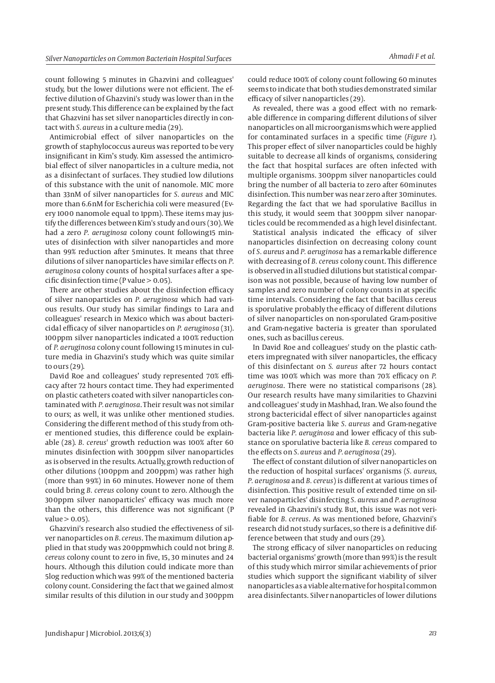count following 5 minutes in Ghazvini and colleagues' study, but the lower dilutions were not efficient. The effective dilution of Ghazvini's study was lower than in the present study. This difference can be explained by the fact that Ghazvini has set silver nanoparticles directly in contact with *S. aureus* in a culture media (29).

Antimicrobial effect of silver nanoparticles on the growth of staphylococcus aureus was reported to be very insignificant in Kim's study. Kim assessed the antimicrobial effect of silver nanoparticles in a culture media, not as a disinfectant of surfaces. They studied low dilutions of this substance with the unit of nanomole. MIC more than 33nM of silver nanoparticles for *S. aureus* and MIC more than 6.6nM for Escherichia coli were measured (Every 1000 nanomole equal to 1ppm). These items may justify the differences between Kim's study and ours (30). We had a zero *P. aeruginosa* colony count following15 minutes of disinfection with silver nanoparticles and more than 99% reduction after 5minutes. It means that three dilutions of silver nanoparticles have similar effects on *P. aeruginosa* colony counts of hospital surfaces after a specific disinfection time (P value  $> 0.05$ ).

There are other studies about the disinfection efficacy of silver nanoparticles on *P. aeruginosa* which had various results. Our study has similar findings to Lara and colleagues' research in Mexico which was about bactericidal efficacy of silver nanoparticles on *P. aeruginosa* (31). 100ppm silver nanoparticles indicated a 100% reduction of *P. aeruginosa* colony count following 15 minutes in culture media in Ghazvini's study which was quite similar to ours (29).

David Roe and colleagues' study represented 70% efficacy after 72 hours contact time. They had experimented on plastic catheters coated with silver nanoparticles contaminated with *P. aeruginosa*. Their result was not similar to ours; as well, it was unlike other mentioned studies. Considering the different method of this study from other mentioned studies, this difference could be explainable (28). *B. cereus*' growth reduction was 100% after 60 minutes disinfection with 300ppm silver nanoparticles as is observed in the results. Actually, growth reduction of other dilutions (100ppm and 200ppm) was rather high (more than 99%) in 60 minutes. However none of them could bring *B. cereus* colony count to zero. Although the 300ppm silver nanoparticles' efficacy was much more than the others, this difference was not significant (P  $value > 0.05$ ).

Ghazvini's research also studied the effectiveness of silver nanoparticles on *B. cereus*. The maximum dilution applied in that study was 200ppmwhich could not bring *B. cereus* colony count to zero in five, 15, 30 minutes and 24 hours. Although this dilution could indicate more than 5log reduction which was 99% of the mentioned bacteria colony count. Considering the fact that we gained almost similar results of this dilution in our study and 300ppm could reduce 100% of colony count following 60 minutes seems to indicate that both studies demonstrated similar efficacy of silver nanoparticles (29).

As revealed, there was a good effect with no remarkable difference in comparing different dilutions of silver nanoparticles on all microorganisms which were applied for contaminated surfaces in a specific time (*Figure 1*). This proper effect of silver nanoparticles could be highly suitable to decrease all kinds of organisms, considering the fact that hospital surfaces are often infected with multiple organisms. 300ppm silver nanoparticles could bring the number of all bacteria to zero after 60minutes disinfection. This number was near zero after 30minutes. Regarding the fact that we had sporulative Bacillus in this study, it would seem that 300ppm silver nanoparticles could be recommended as a high level disinfectant.

Statistical analysis indicated the efficacy of silver nanoparticles disinfection on decreasing colony count of *S. aureus* and *P. aeruginosa* has a remarkable difference with decreasing of *B. cereus* colony count. This difference is observed in all studied dilutions but statistical comparison was not possible, because of having low number of samples and zero number of colony counts in at specific time intervals. Considering the fact that bacillus cereus is sporulative probably the efficacy of different dilutions of silver nanoparticles on non-sporulated Gram-positive and Gram-negative bacteria is greater than sporulated ones, such as bacillus cereus.

In David Roe and colleagues' study on the plastic catheters impregnated with silver nanoparticles, the efficacy of this disinfectant on *S. aureus* after 72 hours contact time was 100% which was more than 70% efficacy on *P. aeruginosa*. There were no statistical comparisons (28). Our research results have many similarities to Ghazvini and colleagues' study in Mashhad, Iran. We also found the strong bactericidal effect of silver nanoparticles against Gram-positive bacteria like *S. aureus* and Gram-negative bacteria like *P. aeruginosa* and lower efficacy of this substance on sporulative bacteria like *B. cereus* compared to the effects on *S. aureus* and *P. aeruginosa* (29).

The effect of constant dilution of silver nanoparticles on the reduction of hospital surfaces' organisms (*S. aureus*, *P. aeruginosa* and *B. cereus*) is different at various times of disinfection. This positive result of extended time on silver nanoparticles' disinfecting *S. aureus* and *P. aeruginosa* revealed in Ghazvini's study. But, this issue was not verifiable for *B. cereus*. As was mentioned before, Ghazvini's research did not study surfaces, so there is a definitive difference between that study and ours (29).

The strong efficacy of silver nanoparticles on reducing bacterial organisms' growth (more than 99%) is the result of this study which mirror similar achievements of prior studies which support the significant viability of silver nanoparticles as a viable alternative for hospital common area disinfectants. Silver nanoparticles of lower dilutions